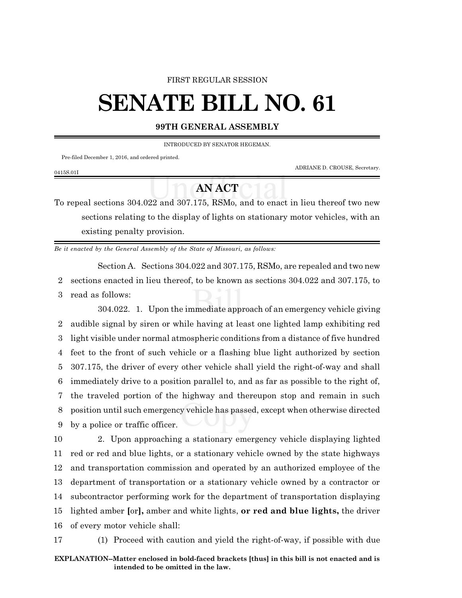#### FIRST REGULAR SESSION

# **SENATE BILL NO. 61**

### **99TH GENERAL ASSEMBLY**

INTRODUCED BY SENATOR HEGEMAN.

Pre-filed December 1, 2016, and ordered printed.

ADRIANE D. CROUSE, Secretary.

#### 0415S.01I

## **AN ACT**

To repeal sections 304.022 and 307.175, RSMo, and to enact in lieu thereof two new sections relating to the display of lights on stationary motor vehicles, with an existing penalty provision.

*Be it enacted by the General Assembly of the State of Missouri, as follows:*

Section A. Sections 304.022 and 307.175, RSMo, are repealed and two new 2 sections enacted in lieu thereof, to be known as sections 304.022 and 307.175, to 3 read as follows:

304.022. 1. Upon the immediate approach of an emergency vehicle giving audible signal by siren or while having at least one lighted lamp exhibiting red light visible under normal atmospheric conditions from a distance of five hundred feet to the front of such vehicle or a flashing blue light authorized by section 307.175, the driver of every other vehicle shall yield the right-of-way and shall immediately drive to a position parallel to, and as far as possible to the right of, the traveled portion of the highway and thereupon stop and remain in such position until such emergency vehicle has passed, except when otherwise directed by a police or traffic officer.

 2. Upon approaching a stationary emergency vehicle displaying lighted red or red and blue lights, or a stationary vehicle owned by the state highways and transportation commission and operated by an authorized employee of the department of transportation or a stationary vehicle owned by a contractor or subcontractor performing work for the department of transportation displaying lighted amber **[**or**],** amber and white lights, **or red and blue lights,** the driver of every motor vehicle shall:

17 (1) Proceed with caution and yield the right-of-way, if possible with due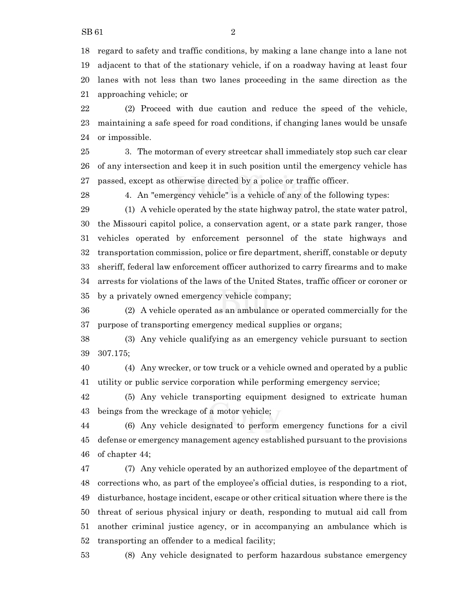lanes with not less than two lanes proceeding in the same direction as the approaching vehicle; or

 (2) Proceed with due caution and reduce the speed of the vehicle, maintaining a safe speed for road conditions, if changing lanes would be unsafe or impossible.

 3. The motorman of every streetcar shall immediately stop such car clear of any intersection and keep it in such position until the emergency vehicle has passed, except as otherwise directed by a police or traffic officer.

4. An "emergency vehicle" is a vehicle of any of the following types:

 (1) A vehicle operated by the state highway patrol, the state water patrol, the Missouri capitol police, a conservation agent, or a state park ranger, those vehicles operated by enforcement personnel of the state highways and transportation commission, police or fire department, sheriff, constable or deputy sheriff, federal law enforcement officer authorized to carry firearms and to make arrests for violations of the laws of the United States, traffic officer or coroner or by a privately owned emergency vehicle company;

 (2) A vehicle operated as an ambulance or operated commercially for the purpose of transporting emergency medical supplies or organs;

 (3) Any vehicle qualifying as an emergency vehicle pursuant to section 307.175;

 (4) Any wrecker, or tow truck or a vehicle owned and operated by a public utility or public service corporation while performing emergency service;

 (5) Any vehicle transporting equipment designed to extricate human beings from the wreckage of a motor vehicle;

 (6) Any vehicle designated to perform emergency functions for a civil defense or emergency management agency established pursuant to the provisions of chapter 44;

 (7) Any vehicle operated by an authorized employee of the department of corrections who, as part of the employee's official duties, is responding to a riot, disturbance, hostage incident, escape or other critical situation where there is the threat of serious physical injury or death, responding to mutual aid call from another criminal justice agency, or in accompanying an ambulance which is transporting an offender to a medical facility;

(8) Any vehicle designated to perform hazardous substance emergency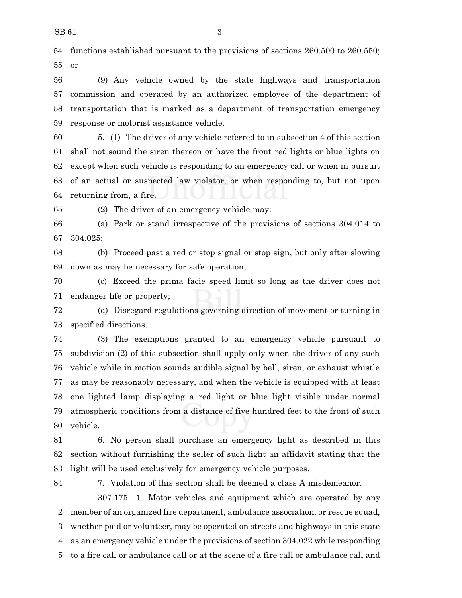functions established pursuant to the provisions of sections 260.500 to 260.550; or

 (9) Any vehicle owned by the state highways and transportation commission and operated by an authorized employee of the department of transportation that is marked as a department of transportation emergency response or motorist assistance vehicle.

 5. (1) The driver of any vehicle referred to in subsection 4 of this section shall not sound the siren thereon or have the front red lights or blue lights on except when such vehicle is responding to an emergency call or when in pursuit of an actual or suspected law violator, or when responding to, but not upon returning from, a fire.

(2) The driver of an emergency vehicle may:

 (a) Park or stand irrespective of the provisions of sections 304.014 to 304.025;

 (b) Proceed past a red or stop signal or stop sign, but only after slowing down as may be necessary for safe operation;

 (c) Exceed the prima facie speed limit so long as the driver does not endanger life or property;

 (d) Disregard regulations governing direction of movement or turning in specified directions.

 (3) The exemptions granted to an emergency vehicle pursuant to subdivision (2) of this subsection shall apply only when the driver of any such vehicle while in motion sounds audible signal by bell, siren, or exhaust whistle as may be reasonably necessary, and when the vehicle is equipped with at least one lighted lamp displaying a red light or blue light visible under normal atmospheric conditions from a distance of five hundred feet to the front of such vehicle.

 6. No person shall purchase an emergency light as described in this section without furnishing the seller of such light an affidavit stating that the light will be used exclusively for emergency vehicle purposes.

7. Violation of this section shall be deemed a class A misdemeanor.

307.175. 1. Motor vehicles and equipment which are operated by any member of an organized fire department, ambulance association, or rescue squad, whether paid or volunteer, may be operated on streets and highways in this state as an emergency vehicle under the provisions of section 304.022 while responding to a fire call or ambulance call or at the scene of a fire call or ambulance call and